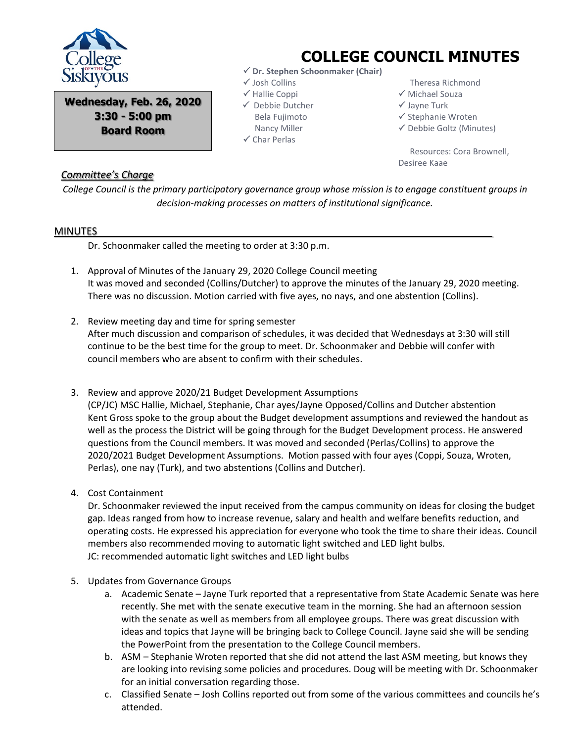

**Wednesday, Feb. 26, 2020 3:30 - 5:00 pm Board Room**

## **COLLEGE COUNCIL MINUTES**

- **Dr. Stephen Schoonmaker (Chair)**
- Josh Collins
- $\checkmark$  Hallie Coppi
- Debbie Dutcher Bela Fujimoto Nancy Miller
- $\checkmark$  Char Perlas
- Theresa Richmond
- Michael Souza
- $\checkmark$  Jayne Turk
- $\checkmark$  Stephanie Wroten
- $\checkmark$  Debbie Goltz (Minutes)

 Resources: Cora Brownell, Desiree Kaae

## *Committee's Charge*

*College Council is the primary participatory governance group whose mission is to engage constituent groups in decision-making processes on matters of institutional significance.*

## MINUTES

Dr. Schoonmaker called the meeting to order at 3:30 p.m.

- 1. Approval of Minutes of the January 29, 2020 College Council meeting It was moved and seconded (Collins/Dutcher) to approve the minutes of the January 29, 2020 meeting. There was no discussion. Motion carried with five ayes, no nays, and one abstention (Collins).
- 2. Review meeting day and time for spring semester After much discussion and comparison of schedules, it was decided that Wednesdays at 3:30 will still continue to be the best time for the group to meet. Dr. Schoonmaker and Debbie will confer with council members who are absent to confirm with their schedules.
- 3. Review and approve 2020/21 Budget Development Assumptions (CP/JC) MSC Hallie, Michael, Stephanie, Char ayes/Jayne Opposed/Collins and Dutcher abstention Kent Gross spoke to the group about the Budget development assumptions and reviewed the handout as well as the process the District will be going through for the Budget Development process. He answered questions from the Council members. It was moved and seconded (Perlas/Collins) to approve the 2020/2021 Budget Development Assumptions. Motion passed with four ayes (Coppi, Souza, Wroten, Perlas), one nay (Turk), and two abstentions (Collins and Dutcher).
- 4. Cost Containment

Dr. Schoonmaker reviewed the input received from the campus community on ideas for closing the budget gap. Ideas ranged from how to increase revenue, salary and health and welfare benefits reduction, and operating costs. He expressed his appreciation for everyone who took the time to share their ideas. Council members also recommended moving to automatic light switched and LED light bulbs. JC: recommended automatic light switches and LED light bulbs

- 5. Updates from Governance Groups
	- a. Academic Senate Jayne Turk reported that a representative from State Academic Senate was here recently. She met with the senate executive team in the morning. She had an afternoon session with the senate as well as members from all employee groups. There was great discussion with ideas and topics that Jayne will be bringing back to College Council. Jayne said she will be sending the PowerPoint from the presentation to the College Council members.
	- b. ASM Stephanie Wroten reported that she did not attend the last ASM meeting, but knows they are looking into revising some policies and procedures. Doug will be meeting with Dr. Schoonmaker for an initial conversation regarding those.
	- c. Classified Senate Josh Collins reported out from some of the various committees and councils he's attended.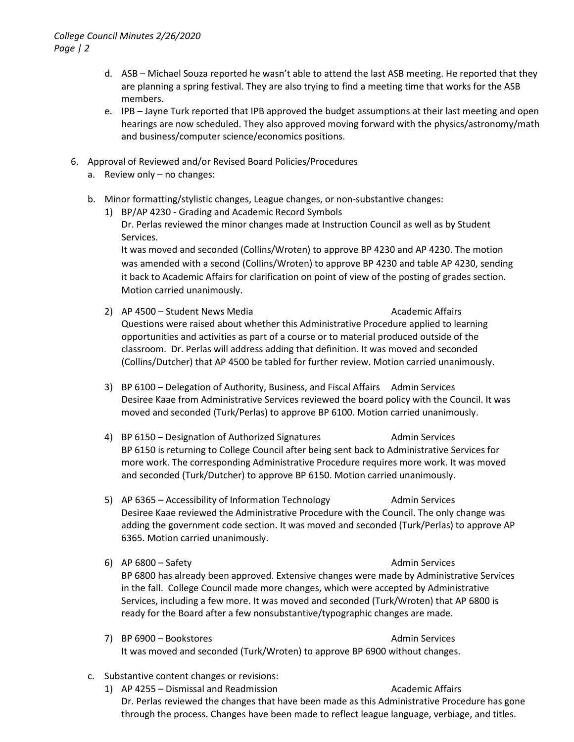- d. ASB Michael Souza reported he wasn't able to attend the last ASB meeting. He reported that they are planning a spring festival. They are also trying to find a meeting time that works for the ASB members.
- e. IPB Jayne Turk reported that IPB approved the budget assumptions at their last meeting and open hearings are now scheduled. They also approved moving forward with the physics/astronomy/math and business/computer science/economics positions.
- 6. Approval of Reviewed and/or Revised Board Policies/Procedures
	- a. Review only no changes:
	- b. Minor formatting/stylistic changes, League changes, or non-substantive changes:
		- 1) BP/AP 4230 Grading and Academic Record Symbols Dr. Perlas reviewed the minor changes made at Instruction Council as well as by Student Services.

It was moved and seconded (Collins/Wroten) to approve BP 4230 and AP 4230. The motion was amended with a second (Collins/Wroten) to approve BP 4230 and table AP 4230, sending it back to Academic Affairs for clarification on point of view of the posting of grades section. Motion carried unanimously.

- 2) AP 4500 Student News Media **Academic Affairs** Academic Affairs Questions were raised about whether this Administrative Procedure applied to learning opportunities and activities as part of a course or to material produced outside of the classroom. Dr. Perlas will address adding that definition. It was moved and seconded (Collins/Dutcher) that AP 4500 be tabled for further review. Motion carried unanimously.
- 3) BP 6100 Delegation of Authority, Business, and Fiscal Affairs Admin Services Desiree Kaae from Administrative Services reviewed the board policy with the Council. It was moved and seconded (Turk/Perlas) to approve BP 6100. Motion carried unanimously.
- 4) BP 6150 Designation of Authorized Signatures Admin Services BP 6150 is returning to College Council after being sent back to Administrative Services for more work. The corresponding Administrative Procedure requires more work. It was moved and seconded (Turk/Dutcher) to approve BP 6150. Motion carried unanimously.
- 5) AP 6365 Accessibility of Information Technology Admin Services Desiree Kaae reviewed the Administrative Procedure with the Council. The only change was adding the government code section. It was moved and seconded (Turk/Perlas) to approve AP 6365. Motion carried unanimously.
- 6) AP 6800 Safety **Admin Services** Admin Services BP 6800 has already been approved. Extensive changes were made by Administrative Services in the fall. College Council made more changes, which were accepted by Administrative Services, including a few more. It was moved and seconded (Turk/Wroten) that AP 6800 is ready for the Board after a few nonsubstantive/typographic changes are made.
- 7) BP 6900 Bookstores Admin Services Admin Services It was moved and seconded (Turk/Wroten) to approve BP 6900 without changes.
- c. Substantive content changes or revisions:
	- 1) AP 4255 Dismissal and Readmission Academic Affairs Dr. Perlas reviewed the changes that have been made as this Administrative Procedure has gone through the process. Changes have been made to reflect league language, verbiage, and titles.